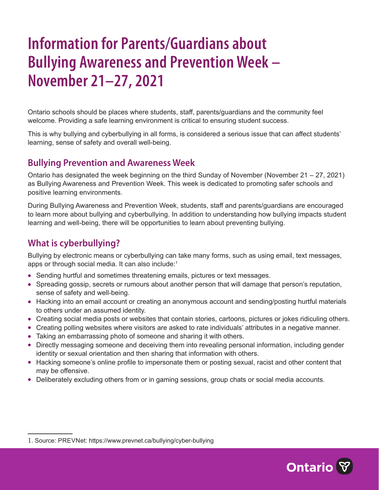# **Information for Parents/Guardians about Bullying Awareness and Prevention Week – November 21–27, 2021**

Ontario schools should be places where students, staff, parents/guardians and the community feel welcome. Providing a safe learning environment is critical to ensuring student success.

This is why bullying and cyberbullying in all forms, is considered a serious issue that can affect students' learning, sense of safety and overall well-being.

### **Bullying Prevention and Awareness Week**

Ontario has designated the week beginning on the third Sunday of November (November 21 – 27, 2021) as Bullying Awareness and Prevention Week. This week is dedicated to promoting safer schools and positive learning environments.

During Bullying Awareness and Prevention Week, students, staff and parents/guardians are encouraged to learn more about bullying and cyberbullying. In addition to understanding how bullying impacts student learning and well-being, there will be opportunities to learn about preventing bullying.

### **What is cyberbullying?**

Bullying by electronic means or cyberbullying can take many forms, such as using email, text messages, apps or through social media. It can also include:<sup>1</sup>

- Sending hurtful and sometimes threatening emails, pictures or text messages.
- Spreading gossip, secrets or rumours about another person that will damage that person's reputation, sense of safety and well-being.
- Hacking into an email account or creating an anonymous account and sending/posting hurtful materials to others under an assumed identity.
- Creating social media posts or websites that contain stories, cartoons, pictures or jokes ridiculing others.
- Creating polling websites where visitors are asked to rate individuals' attributes in a negative manner.
- Taking an embarrassing photo of someone and sharing it with others.
- Directly messaging someone and deceiving them into revealing personal information, including gender identity or sexual orientation and then sharing that information with others.
- Hacking someone's online profile to impersonate them or posting sexual, racist and other content that may be offensive.
- Deliberately excluding others from or in gaming sessions, group chats or social media accounts.



<sup>1</sup>. Source: PREVNet: <https://www.prevnet.ca/bullying/cyber-bullying>